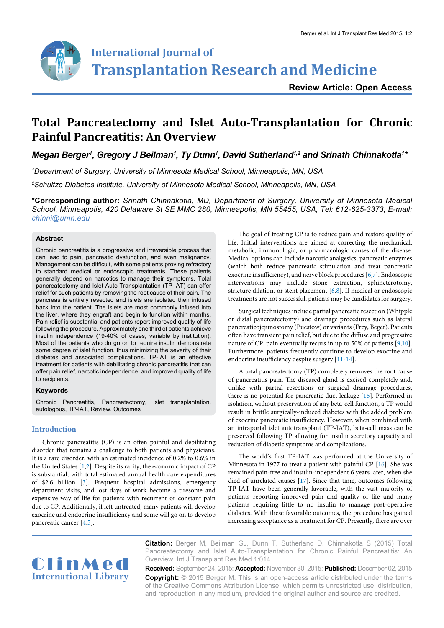

**Review Article: Open Access**

# **Total Pancreatectomy and Islet Auto-Transplantation for Chronic Painful Pancreatitis: An Overview**

Megan Berger<sup>1</sup>, Gregory J Beilman<sup>1</sup>, Ty Dunn<sup>1</sup>, David Sutherland<sup>1,2</sup> and Srinath Chinnakotla<sup>1</sup>\*

*1 Department of Surgery, University of Minnesota Medical School, Minneapolis, MN, USA*

*2 Schultze Diabetes Institute, University of Minnesota Medical School, Minneapolis, MN, USA*

**\*Corresponding author:** *Srinath Chinnakotla, MD, Department of Surgery, University of Minnesota Medical School, Minneapolis, 420 Delaware St SE MMC 280, Minneapolis, MN 55455, USA, Tel: 612-625-3373, E-mail: chinni@umn.edu*

#### **Abstract**

Chronic pancreatitis is a progressive and irreversible process that can lead to pain, pancreatic dysfunction, and even malignancy. Management can be difficult, with some patients proving refractory to standard medical or endoscopic treatments. These patients generally depend on narcotics to manage their symptoms. Total pancreatectomy and Islet Auto-Transplantation (TP-IAT) can offer relief for such patients by removing the root cause of their pain. The pancreas is entirely resected and islets are isolated then infused back into the patient. The islets are most commonly infused into the liver, where they engraft and begin to function within months. Pain relief is substantial and patients report improved quality of life following the procedure. Approximately one third of patients achieve insulin independence (19-40% of cases, variable by institution). Most of the patients who do go on to require insulin demonstrate some degree of islet function, thus minimizing the severity of their diabetes and associated complications. TP-IAT is an effective treatment for patients with debilitating chronic pancreatitis that can offer pain relief, narcotic independence, and improved quality of life to recipients.

#### **Keywords**

Chronic Pancreatitis, Pancreatectomy, Islet transplantation, autologous, TP-IAT, Review, Outcomes

# **Introduction**

Chronic pancreatitis (CP) is an often painful and debilitating disorder that remains a challenge to both patients and physicians. It is a rare disorder, with an estimated incidence of 0.2% to 0.6% in the United States [\[1,](#page-3-0)[2\]](#page-3-1). Despite its rarity, the economic impact of CP is substantial, with total estimated annual health care expenditures of \$2.6 billion [[3](#page-3-2)]. Frequent hospital admissions, emergency department visits, and lost days of work become a tiresome and expensive way of life for patients with recurrent or constant pain due to CP. Additionally, if left untreated, many patients will develop exocrine and endocrine insufficiency and some will go on to develop pancreatic cancer [[4](#page-3-3)[,5\]](#page-3-4).

The goal of treating CP is to reduce pain and restore quality of life. Initial interventions are aimed at correcting the mechanical, metabolic, immunologic, or pharmacologic causes of the disease. Medical options can include narcotic analgesics, pancreatic enzymes (which both reduce pancreatic stimulation and treat pancreatic exocrine insufficiency), and nerve block procedures [\[6,](#page-3-5)[7](#page-3-6)]. Endoscopic interventions may include stone extraction, sphincterotomy, stricture dilation, or stent placement [[6,](#page-3-5)[8](#page-3-7)]. If medical or endoscopic treatments are not successful, patients may be candidates for surgery.

Surgical techniques include partial pancreatic resection (Whipple or distal pancreatectomy) and drainage procedures such as lateral pancreaticojejunostomy (Puestow) or variants (Frey, Beger). Patients often have transient pain relief, but due to the diffuse and progressive nature of CP, pain eventually recurs in up to 50% of patients [[9,](#page-3-8)[10\]](#page-3-9). Furthermore, patients frequently continue to develop exocrine and endocrine insufficiency despite surgery [[11](#page-3-10)-[14](#page-3-11)].

A total pancreatectomy (TP) completely removes the root cause of pancreatitis pain. The diseased gland is excised completely and, unlike with partial resections or surgical drainage procedures, there is no potential for pancreatic duct leakage [\[15](#page-3-12)]. Performed in isolation, without preservation of any beta-cell function, a TP would result in brittle surgically-induced diabetes with the added problem of exocrine pancreatic insufficiency. However, when combined with an intraportal islet autotransplant (TP-IAT), beta-cell mass can be preserved following TP allowing for insulin secretory capacity and reduction of diabetic symptoms and complications.

The world's first TP-IAT was performed at the University of Minnesota in 1977 to treat a patient with painful CP [\[16\]](#page-3-13). She was remained pain-free and insulin-independent 6 years later, when she died of unrelated causes [\[17\]](#page-3-14). Since that time, outcomes following TP-IAT have been generally favorable, with the vast majority of patients reporting improved pain and quality of life and many patients requiring little to no insulin to manage post-operative diabetes. With these favorable outcomes, the procedure has gained increasing acceptance as a treatment for CP. Presently, there are over



**Citation:** Berger M, Beilman GJ, Dunn T, Sutherland D, Chinnakotla S (2015) Total Pancreatectomy and Islet Auto-Transplantation for Chronic Painful Pancreatitis: An Overview. Int J Transplant Res Med 1:014

**Received:** September 24, 2015: **Accepted:** November 30, 2015: **Published:** December 02, 2015 **Copyright:** © 2015 Berger M. This is an open-access article distributed under the terms of the Creative Commons Attribution License, which permits unrestricted use, distribution, and reproduction in any medium, provided the original author and source are credited.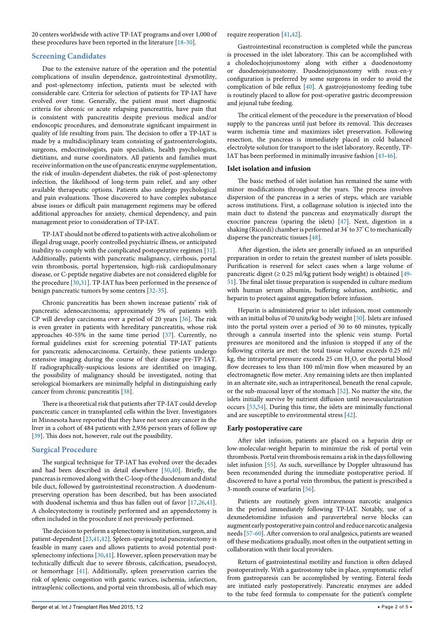20 centers worldwide with active TP-IAT programs and over 1,000 of these procedures have been reported in the literature [[18](#page-3-15)-[30](#page-3-16)].

## **Screening Candidates**

Due to the extensive nature of the operation and the potential complications of insulin dependence, gastrointestinal dysmotility, and post-splenectomy infection, patients must be selected with considerable care. Criteria for selection of patients for TP-IAT have evolved over time. Generally, the patient must meet diagnostic criteria for chronic or acute relapsing pancreatitis, have pain that is consistent with pancreatitis despite previous medical and/or endoscopic procedures, and demonstrate significant impairment in quality of life resulting from pain. The decision to offer a TP-IAT is made by a multidisciplinary team consisting of gastroenterologists, surgeons, endocrinologists, pain specialists, health psychologists, dietitians, and nurse coordinators. All patients and families must receive information on the use of pancreatic enzyme supplementation, the risk of insulin-dependent diabetes, the risk of post-splenectomy infection, the likelihood of long-term pain relief, and any other available therapeutic options. Patients also undergo psychological and pain evaluations. Those discovered to have complex substance abuse issues or difficult pain management regimens may be offered additional approaches for anxiety, chemical dependency, and pain management prior to consideration of TP-IAT.

TP-IAT should not be offered to patients with active alcoholism or illegal drug usage, poorly controlled psychiatric illness, or anticipated inability to comply with the complicated postoperative regimen [[31](#page-3-17)]. Additionally, patients with pancreatic malignancy, cirrhosis, portal vein thrombosis, portal hypertension, high-risk cardiopulmonary disease, or C-peptide negative diabetes are not considered eligible for the procedure [[30](#page-3-16)[,31\]](#page-3-17). TP-IAT has been performed in the presence of benign pancreatic tumors by some centers [[32-](#page-3-18)[35](#page-3-19)].

Chronic pancreatitis has been shown increase patients' risk of pancreatic adenocarcinoma; approximately 5% of patients with CP will develop carcinoma over a period of 20 years [[36](#page-3-20)]. The risk is even greater in patients with hereditary pancreatitis, whose risk approaches 40-55% in the same time period [\[37\]](#page-3-21). Currently, no formal guidelines exist for screening potential TP-IAT patients for pancreatic adenocarcinoma. Certainly, these patients undergo extensive imaging during the course of their disease pre-TP-IAT. If radiographically-suspicious lesions are identified on imaging, the possibility of malignancy should be investigated, noting that serological biomarkers are minimally helpful in distinguishing early cancer from chronic pancreatitis [\[38\]](#page-3-22).

There is a theoretical risk that patients after TP-IAT could develop pancreatic cancer in transplanted cells within the liver. Investigators in Minnesota have reported that they have not seen any cancer in the liver in a cohort of 484 patients with 2,936 person years of follow up [[39](#page-3-23)]. This does not, however, rule out the possibility.

# **Surgical Procedure**

The surgical technique for TP-IAT has evolved over the decades and had been described in detail elsewhere [[30](#page-3-16)[,40\]](#page-3-24). Briefly, the pancreas is removed along with the C-loop of the duodenum and distal bile duct, followed by gastrointestinal reconstruction. A duodenumpreserving operation has been described, but has been associated with duodenal ischemia and thus has fallen out of favor [\[17](#page-3-14)[,26,](#page-3-25)[41](#page-3-26)]. A cholecystectomy is routinely performed and an appendectomy is often included in the procedure if not previously performed.

The decision to perform a splenectomy is institution, surgeon, and patient-dependent [\[23,](#page-3-27)[41,](#page-3-26)[42](#page-3-28)]. Spleen-sparing total pancreatectomy is feasible in many cases and allows patients to avoid potential postsplenectomy infections [\[30](#page-3-16)[,41\]](#page-3-26). However, spleen preservation may be technically difficult due to severe fibrosis, calcification, pseudocyst, or hemorrhage [[41](#page-3-26)]. Additionally, spleen preservation carries the risk of splenic congestion with gastric varices, ischemia, infarction, intrasplenic collections, and portal vein thrombosis, all of which may

#### require reoperation [\[41,](#page-3-26)[42\]](#page-3-28).

Gastrointestinal reconstruction is completed while the pancreas is processed in the islet laboratory. This can be accomplished with a choledochojejunostomy along with either a duodenostomy or duodenojejunostomy. Duodenojejunostomy with roux-en-y configuration is preferred by some surgeons in order to avoid the complication of bile reflux [[40\]](#page-3-24). A gastrojejunostomy feeding tube is routinely placed to allow for post-operative gastric decompression and jejunal tube feeding.

The critical element of the procedure is the preservation of blood supply to the pancreas until just before its removal. This decreases warm ischemia time and maximizes islet preservation. Following resection, the pancreas is immediately placed in cold balanced electrolyte solution for transport to the islet laboratory. Recently, TP-IAT has been performed in minimally invasive fashion [[43-](#page-4-0)[46](#page-4-1)].

#### **Islet isolation and infusion**

The basic method of islet isolation has remained the same with minor modifications throughout the years. The process involves dispersion of the pancreas in a series of steps, which are variable across institutions. First, a collagenase solution is injected into the main duct to distend the pancreas and enzymatically disrupt the exocrine pancreas (sparing the islets) [\[47\]](#page-4-2). Next, digestion in a shaking (Ricordi) chamber is performed at 34° to 37° C to mechanically disperse the pancreatic tissues [[48\]](#page-4-3).

After digestion, the islets are generally infused as an unpurified preparation in order to retain the greatest number of islets possible. Purification is reserved for select cases when a large volume of pancreatic digest ( $\geq$  0.25 ml/kg patient body weight) is obtained [[49-](#page-4-4) [51](#page-4-5)]. The final islet tissue preparation is suspended in culture medium with human serum albumin, buffering solution, antibiotic, and heparin to protect against aggregation before infusion.

Heparin is administered prior to islet infusion, most commonly with an initial bolus of 70 units/kg body weight [\[50\]](#page-4-6). Islets are infused into the portal system over a period of 30 to 60 minutes, typically through a cannula inserted into the splenic vein stump. Portal pressures are monitored and the infusion is stopped if any of the following criteria are met: the total tissue volume exceeds 0.25 ml/ kg, the intraportal pressure exceeds 25 cm  $\rm H_2O$ , or the portal blood flow decreases to less than 100 ml/min flow when measured by an electromagnetic flow meter. Any remaining islets are then implanted in an alternate site, such as intraperitoneal, beneath the renal capsule, or the sub-mucosal layer of the stomach [\[52](#page-4-7)]. No matter the site, the islets initially survive by nutrient diffusion until neovascularization occurs [\[53,](#page-4-8)[54](#page-4-9)]. During this time, the islets are minimally functional and are susceptible to environmental stress [[42](#page-3-28)].

#### **Early postoperative care**

After islet infusion, patients are placed on a heparin drip or low-molecular-weight heparin to minimize the risk of portal vein thrombosis. Portal vein thrombosis remains a risk in the days following islet infusion [\[55\]](#page-4-10). As such, surveillance by Doppler ultrasound has been recommended during the immediate postoperative period. If discovered to have a portal vein thrombus, the patient is prescribed a 3-month course of warfarin [\[56\]](#page-4-11).

Patients are routinely given intravenous narcotic analgesics in the period immediately following TP-IAT. Notably, use of a dexmedetomidine infusion and paravertebral nerve blocks can augment early postoperative pain control and reduce narcotic analgesia needs [\[57-](#page-4-12)[60\]](#page-4-13). After conversion to oral analgesics, patients are weaned off these medications gradually, most often in the outpatient setting in collaboration with their local providers.

Return of gastrointestinal motility and function is often delayed postoperatively. With a gastrostomy tube in place, symptomatic relief from gastroparesis can be accomplished by venting. Enteral feeds are initiated early postoperatively. Pancreatic enzymes are added to the tube feed formula to compensate for the patient's complete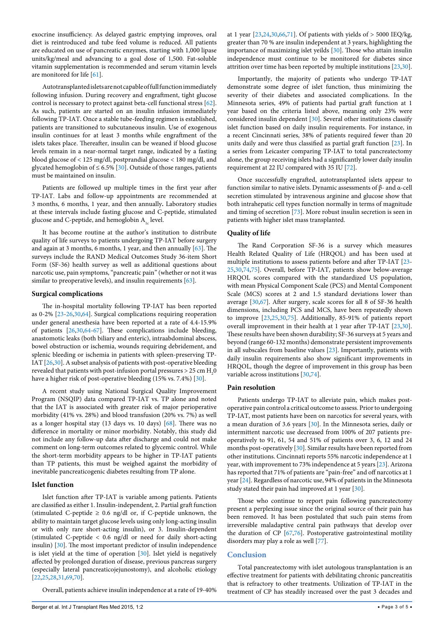exocrine insufficiency. As delayed gastric emptying improves, oral diet is reintroduced and tube feed volume is reduced. All patients are educated on use of pancreatic enzymes, starting with 1,000 lipase units/kg/meal and advancing to a goal dose of 1,500. Fat-soluble vitamin supplementation is recommended and serum vitamin levels are monitored for life [\[61\]](#page-4-14).

Autotransplanted islets are not capable of full function immediately following infusion. During recovery and engraftment, tight glucose control is necessary to protect against beta-cell functional stress [[62](#page-4-15)]. As such, patients are started on an insulin infusion immediately following TP-IAT. Once a stable tube-feeding regimen is established, patients are transitioned to subcutaneous insulin. Use of exogenous insulin continues for at least 3 months while engraftment of the islets takes place. Thereafter, insulin can be weaned if blood glucose levels remain in a near-normal target range, indicated by a fasting blood glucose of < 125 mg/dl, postprandial glucose < 180 mg/dl, and glycated hemoglobin of  $\leq 6.5\%$  [\[30\]](#page-3-16). Outside of those ranges, patients must be maintained on insulin.

Patients are followed up multiple times in the first year after TP-IAT. Labs and follow-up appointments are recommended at 3 months, 6 months, 1 year, and then annually**.** Laboratory studies at these intervals include fasting glucose and C-peptide, stimulated glucose and C-peptide, and hemoglobin  $A_{1c}$  level.

It has become routine at the author's institution to distribute quality of life surveys to patients undergoing TP-IAT before surgery and again at 3 months, 6 months, 1 year, and then annually [\[63\]](#page-4-16). The surveys include the RAND Medical Outcomes Study 36-item Short Form (SF-36) health survey as well as additional questions about narcotic use, pain symptoms, "pancreatic pain" (whether or not it was similar to preoperative levels), and insulin requirements [[63](#page-4-16)].

#### **Surgical complications**

The in-hospital mortality following TP-IAT has been reported as 0-2% [[23-](#page-3-27)[26](#page-3-25)[,30](#page-3-16)[,64\]](#page-4-17). Surgical complications requiring reoperation under general anesthesia have been reported at a rate of 4.4-15.9% of patients [[26](#page-3-25)[,30](#page-3-16)[,64-](#page-4-17)[67\]](#page-4-18). These complications include bleeding, anastomotic leaks (both biliary and enteric), intraabdominal abscess, bowel obstruction or ischemia, wounds requiring debridement, and splenic bleeding or ischemia in patients with spleen-preserving TP-IAT [[26,](#page-3-25)[30](#page-3-16)]. A subset analysis of patients with post-operative bleeding revealed that patients with post-infusion portal pressures  $>$  25 cm  $\rm H_{2}O$ have a higher risk of post-operative bleeding (15% vs. 7.4%) [[30](#page-3-16)].

A recent study using National Surgical Quality Improvement Program (NSQIP) data compared TP-IAT vs. TP alone and noted that the IAT is associated with greater risk of major perioperative morbidity (41% vs. 28%) and blood transfusion (20% vs. 7%) as well as a longer hospital stay (13 days vs. 10 days) [[68](#page-4-19)]. There was no difference in mortality or minor morbidity. Notably, this study did not include any follow-up data after discharge and could not make comment on long-term outcomes related to glycemic control. While the short-term morbidity appears to be higher in TP-IAT patients than TP patients, this must be weighed against the morbidity of inevitable pancreaticogenic diabetes resulting from TP alone.

# **Islet function**

Islet function after TP-IAT is variable among patients. Patients are classified as either 1. Insulin-independent, 2. Partial graft function (stimulated C-peptide  $\geq$  0.6 ng/dl or, if C-peptide unknown, the ability to maintain target glucose levels using only long-acting insulin or with only rare short-acting insulin), or 3. Insulin-dependent (stimulated C-peptide < 0.6 ng/dl or need for daily short-acting insulin) [\[30\]](#page-3-16). The most important predictor of insulin independence is islet yield at the time of operation [\[30\]](#page-3-16). Islet yield is negatively affected by prolonged duration of disease, previous pancreas surgery (especially lateral pancreaticojejunostomy), and alcoholic etiology [[22](#page-3-29)[,25,](#page-3-30)[28,](#page-3-31)[31](#page-3-17)[,69](#page-4-20)[,70\]](#page-4-21).

Overall, patients achieve insulin independence at a rate of 19-40%

at 1 year  $[23,24,30,66,71]$  $[23,24,30,66,71]$  $[23,24,30,66,71]$  $[23,24,30,66,71]$  $[23,24,30,66,71]$  $[23,24,30,66,71]$ . Of patients with yields of > 5000 IEQ/kg, greater than 70 % are insulin independent at 3 years, highlighting the importance of maximizing islet yeilds [[30\]](#page-3-16). Those who attain insulin independence must continue to be monitored for diabetes since attrition over time has been reported by multiple institutions [\[23,](#page-3-27)[30\]](#page-3-16).

Importantly, the majority of patients who undergo TP-IAT demonstrate some degree of islet function, thus minimizing the severity of their diabetes and associated complications. In the Minnesota series, 49% of patients had partial graft function at 1 year based on the criteria listed above, meaning only 23% were considered insulin dependent [[30](#page-3-16)]. Several other institutions classify islet function based on daily insulin requirements. For instance, in a recent Cincinnati series, 38% of patients required fewer than 20 units daily and were thus classified as partial graft function [\[23\]](#page-3-27). In a series from Leicaster comparing TP-IAT to total pancreatectomy alone, the group receiving islets had a significantly lower daily insulin requirement at 22 IU compared with 35 IU [[72\]](#page-4-24).

Once successfully engrafted, autotransplanted islets appear to function similar to native islets. Dynamic assessments of β- and α-cell secretion stimulated by intravenous arginine and glucose show that both intrahepatic cell types function normally in terms of magnitude and timing of secretion [\[73\]](#page-4-25). More robust insulin secretion is seen in patients with higher islet mass transplanted.

#### **Quality of life**

The Rand Corporation SF-36 is a survey which measures Health Related Quality of Life (HRQOL) and has been used at multiple institutions to assess patients before and after TP-IAT [[23-](#page-3-27) [25](#page-3-30)[,30](#page-3-16)[,74,](#page-4-26)[75](#page-4-27)]. Overall, before TP-IAT, patients show below-average HRQOL scores compared with the standardized US population, with mean Physical Component Scale (PCS) and Mental Component Scale (MCS) scores at 2 and 1.5 standard deviations lower than average [\[30,](#page-3-16)[67](#page-4-18)]. After surgery, scale scores for all 8 of SF-36 health dimensions, including PCS and MCS, have been repeatedly shown to improve [[23](#page-3-27)[,25,](#page-3-30)[30,](#page-3-16)[75](#page-4-27)]. Additionally, 85-91% of patients report overall improvement in their health at 1 year after TP-IAT [\[23,](#page-3-27)[30\]](#page-3-16). These results have been shown durability; SF-36 surveys at 5 years and beyond (range 60-132 months) demonstrate persistent improvements in all subscales from baseline values [[23\]](#page-3-27). Importantly, patients with daily insulin requirements also show significant improvements in HRQOL, though the degree of improvement in this group has been variable across institutions [\[30,](#page-3-16)[74](#page-4-26)].

#### **Pain resolution**

Patients undergo TP-IAT to alleviate pain, which makes postoperative pain control a critical outcome to assess. Prior to undergoing TP-IAT, most patients have been on narcotics for several years, with a mean duration of 3.6 years [[30](#page-3-16)]. In the Minnesota series, daily or intermittent narcotic use decreased from 100% of 207 patients preoperatively to 91, 61, 54 and 51% of patients over 3, 6, 12 and 24 months post-operatively [\[30\]](#page-3-16). Similar results have been reported from other institutions. Cincinnati reports 55% narcotic independence at 1 year, with improvement to 73% independence at 5 years [\[23\]](#page-3-27). Arizona has reported that 71% of patients are "pain-free" and off narcotics at 1 year [[24](#page-3-32)]. Regardless of narcotic use, 94% of patients in the Minnesota study stated their pain had improved at 1 year [\[30\]](#page-3-16).

Those who continue to report pain following pancreatectomy present a perplexing issue since the original source of their pain has been removed. It has been postulated that such pain stems from irreversible maladaptive central pain pathways that develop over the duration of CP [[67](#page-4-18)[,76\]](#page-4-28). Postoperative gastrointestinal motility disorders may play a role as well [\[77\]](#page-4-29).

# **Conclusion**

Total pancreatectomy with islet autologous transplantation is an effective treatment for patients with debilitating chronic pancreatitis that is refractory to other treatments. Utilization of TP-IAT in the treatment of CP has steadily increased over the past 3 decades and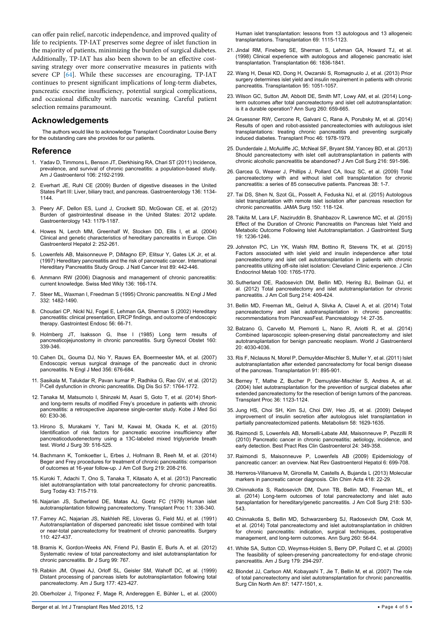can offer pain relief, narcotic independence, and improved quality of life to recipients. TP-IAT preserves some degree of islet function in the majority of patients, minimizing the burden of surgical diabetes. Additionally, TP-IAT has also been shown to be an effective costsaving strategy over more conservative measures in patients with severe CP [\[64\]](#page-4-17). While these successes are encouraging, TP-IAT continues to present significant implications of long-term diabetes, pancreatic exocrine insufficiency, potential surgical complications, and occasional difficulty with narcotic weaning. Careful patient selection remains paramount.

# **Acknowledgements**

The authors would like to acknowledge Transplant Coordinator Louise Berry for the outstanding care she provides for our patients.

# **Reference**

- <span id="page-3-0"></span>1. [Yadav D, Timmons L, Benson JT, Dierkhising RA, Chari ST \(2011\) Incidence,](http://www.ncbi.nlm.nih.gov/pubmed/21946280)  [prevalence, and survival of chronic pancreatitis: a population-based study.](http://www.ncbi.nlm.nih.gov/pubmed/21946280)  [Am J Gastroenterol 106: 2192-2199.](http://www.ncbi.nlm.nih.gov/pubmed/21946280)
- <span id="page-3-1"></span>2. [Everhart JE, Ruhl CE \(2009\) Burden of digestive diseases in the United](http://www.ncbi.nlm.nih.gov/pubmed/19245868)  [States Part III: Liver, biliary tract, and pancreas. Gastroenterology 136: 1134-](http://www.ncbi.nlm.nih.gov/pubmed/19245868) [1144.](http://www.ncbi.nlm.nih.gov/pubmed/19245868)
- <span id="page-3-2"></span>3. [Peery AF, Dellon ES, Lund J, Crockett SD, McGowan CE, et al. \(2012\)](http://www.ncbi.nlm.nih.gov/pubmed/22885331)  [Burden of gastrointestinal disease in the United States: 2012 update.](http://www.ncbi.nlm.nih.gov/pubmed/22885331)  [Gastroenterology 143: 1179-1187.](http://www.ncbi.nlm.nih.gov/pubmed/22885331)
- <span id="page-3-3"></span>4. [Howes N, Lerch MM, Greenhalf W, Stocken DD, Ellis I, et al. \(2004\)](http://www.ncbi.nlm.nih.gov/pubmed/15017610)  [Clinical and genetic characteristics of hereditary pancreatitis in Europe. Clin](http://www.ncbi.nlm.nih.gov/pubmed/15017610)  [Gastroenterol Hepatol 2: 252-261.](http://www.ncbi.nlm.nih.gov/pubmed/15017610)
- <span id="page-3-4"></span>5. [Lowenfels AB, Maisonneuve P, DiMagno EP, Elitsur Y, Gates LK Jr, et al.](http://www.ncbi.nlm.nih.gov/pubmed/9091646)  [\(1997\) Hereditary pancreatitis and the risk of pancreatic cancer. International](http://www.ncbi.nlm.nih.gov/pubmed/9091646)  [Hereditary Pancreatitis Study Group. J Natl Cancer Inst 89: 442-446.](http://www.ncbi.nlm.nih.gov/pubmed/9091646)
- <span id="page-3-5"></span>6. [Ammann RW \(2006\) Diagnosis and management of chronic pancreatitis:](http://www.ncbi.nlm.nih.gov/pubmed/16633964)  [current knowledge. Swiss Med Wkly 136: 166-174.](http://www.ncbi.nlm.nih.gov/pubmed/16633964)
- <span id="page-3-6"></span>7. [Steer ML, Waxman I, Freedman S \(1995\) Chronic pancreatitis. N Engl J Med](http://www.ncbi.nlm.nih.gov/pubmed/7739686)  [332: 1482-1490.](http://www.ncbi.nlm.nih.gov/pubmed/7739686)
- <span id="page-3-7"></span>8. [Choudari CP, Nickl NJ, Fogel E, Lehman GA, Sherman S \(2002\) Hereditary](http://www.ncbi.nlm.nih.gov/pubmed/12085037)  [pancreatitis: clinical presentation, ERCP findings, and outcome of endoscopic](http://www.ncbi.nlm.nih.gov/pubmed/12085037)  [therapy. Gastrointest Endosc 56: 66-71.](http://www.ncbi.nlm.nih.gov/pubmed/12085037)
- <span id="page-3-8"></span>9. [Holmberg JT, Isaksson G, Ihse I \(1985\) Long term results of](http://www.ncbi.nlm.nih.gov/pubmed/2580360)  [pancreaticojejunostomy in chronic pancreatitis. Surg Gynecol Obstet 160:](http://www.ncbi.nlm.nih.gov/pubmed/2580360)  [339-346.](http://www.ncbi.nlm.nih.gov/pubmed/2580360)
- <span id="page-3-9"></span>10. [Cahen DL, Gouma DJ, Nio Y, Rauws EA, Boermeester MA, et al. \(2007\)](http://www.ncbi.nlm.nih.gov/pubmed/17301298)  [Endoscopic versus surgical drainage of the pancreatic duct in chronic](http://www.ncbi.nlm.nih.gov/pubmed/17301298)  [pancreatitis. N Engl J Med 356: 676-684.](http://www.ncbi.nlm.nih.gov/pubmed/17301298)
- <span id="page-3-10"></span>11. [Sasikala M, Talukdar R, Pavan kumar P, Radhika G, Rao GV, et al. \(2012\)](http://www.ncbi.nlm.nih.gov/pubmed/22383081)  Î<sup>2</sup>-Cell dysfunction in chronic pancreatitis. Dig Dis Sci 57: 1764-1772.
- 12. [Tanaka M, Matsumoto I, Shinzeki M, Asari S, Goto T, et al. \(2014\) Short](http://www.ncbi.nlm.nih.gov/pubmed/25339257)[and long-term results of modified Frey's procedure in patients with chronic](http://www.ncbi.nlm.nih.gov/pubmed/25339257)  [pancreatitis: a retrospective Japanese single-center study. Kobe J Med Sci](http://www.ncbi.nlm.nih.gov/pubmed/25339257)  [60: E30-36.](http://www.ncbi.nlm.nih.gov/pubmed/25339257)
- 13. [Hirono S, Murakami Y, Tani M, Kawai M, Okada K, et al. \(2015\)](http://www.ncbi.nlm.nih.gov/pubmed/25318451)  [Identification of risk factors for pancreatic exocrine insufficiency after](http://www.ncbi.nlm.nih.gov/pubmed/25318451)  [pancreaticoduodenectomy using a 13C-labeled mixed triglyceride breath](http://www.ncbi.nlm.nih.gov/pubmed/25318451)  [test. World J Surg 39: 516-525.](http://www.ncbi.nlm.nih.gov/pubmed/25318451)
- <span id="page-3-11"></span>14. [Bachmann K, Tomkoetter L, Erbes J, Hofmann B, Reeh M, et al. \(2014\)](http://www.ncbi.nlm.nih.gov/pubmed/24880955)  [Beger and Frey procedures for treatment of chronic pancreatitis: comparison](http://www.ncbi.nlm.nih.gov/pubmed/24880955)  [of outcomes at 16-year follow-up. J Am Coll Surg 219: 208-216.](http://www.ncbi.nlm.nih.gov/pubmed/24880955)
- <span id="page-3-12"></span>15. [Kuroki T, Adachi T, Ono S, Tanaka T, Kitasato A, et al. \(2013\) Pancreatic](http://www.ncbi.nlm.nih.gov/pubmed/23073847)  [islet autotransplantation with total pancreatectomy for chronic pancreatitis.](http://www.ncbi.nlm.nih.gov/pubmed/23073847)  [Surg Today 43: 715-719.](http://www.ncbi.nlm.nih.gov/pubmed/23073847)
- <span id="page-3-13"></span>16. [Najarian JS, Sutherland DE, Matas AJ, Goetz FC \(1979\) Human islet](http://www.ncbi.nlm.nih.gov/pubmed/109963)  [autotransplantation following pancreatectomy. Transplant Proc 11: 336-340.](http://www.ncbi.nlm.nih.gov/pubmed/109963)
- <span id="page-3-14"></span>17. [Farney AC, Najarian JS, Nakhleh RE, Lloveras G, Field MJ, et al. \(1991\)](http://www.ncbi.nlm.nih.gov/pubmed/1858051)  [Autotransplantation of dispersed pancreatic islet tissue combined with total](http://www.ncbi.nlm.nih.gov/pubmed/1858051)  [or near-total pancreatectomy for treatment of chronic pancreatitis. Surgery](http://www.ncbi.nlm.nih.gov/pubmed/1858051)  [110: 427-437.](http://www.ncbi.nlm.nih.gov/pubmed/1858051)
- <span id="page-3-15"></span>18. [Bramis K, Gordon-Weeks AN, Friend PJ, Bastin E, Burls A, et al. \(2012\)](http://www.ncbi.nlm.nih.gov/pubmed/22434330)  [Systematic review of total pancreatectomy and islet autotransplantation for](http://www.ncbi.nlm.nih.gov/pubmed/22434330)  [chronic pancreatitis. Br J Surg 99: 767.](http://www.ncbi.nlm.nih.gov/pubmed/22434330)
- 19. [Rabkin JM, Olyaei AJ, Orloff SL, Geisler SM, Wahoff DC, et al. \(1999\)](http://www.ncbi.nlm.nih.gov/pubmed/10365884)  [Distant processing of pancreas islets for autotransplantation following total](http://www.ncbi.nlm.nih.gov/pubmed/10365884)  [pancreatectomy. Am J Surg 177: 423-427.](http://www.ncbi.nlm.nih.gov/pubmed/10365884)
- 20. [Oberholzer J, Triponez F, Mage R, Andereggen E, Bühler L, et al. \(2000\)](http://www.ncbi.nlm.nih.gov/pubmed/10762216)

[Human islet transplantation: lessons from 13 autologous and 13 allogeneic](http://www.ncbi.nlm.nih.gov/pubmed/10762216)  [transplantations. Transplantation 69: 1115-1123.](http://www.ncbi.nlm.nih.gov/pubmed/10762216)

- 21. [Jindal RM, Fineberg SE, Sherman S, Lehman GA, Howard TJ, et al.](http://www.ncbi.nlm.nih.gov/pubmed/9884286)  [\(1998\) Clinical experience with autologous and allogeneic pancreatic islet](http://www.ncbi.nlm.nih.gov/pubmed/9884286)  [transplantation. Transplantation 66: 1836-1841.](http://www.ncbi.nlm.nih.gov/pubmed/9884286)
- <span id="page-3-29"></span>22. [Wang H, Desai KD, Dong H, Owzarski S, Romagnuolo J, et al. \(2013\) Prior](http://www.ncbi.nlm.nih.gov/pubmed/23411743)  [surgery determines islet yield and insulin requirement in patients with chronic](http://www.ncbi.nlm.nih.gov/pubmed/23411743)  [pancreatitis. Transplantation 95: 1051-1057.](http://www.ncbi.nlm.nih.gov/pubmed/23411743)
- <span id="page-3-27"></span>23. [Wilson GC, Sutton JM, Abbott DE, Smith MT, Lowy AM, et al. \(2014\) Long](http://www.ncbi.nlm.nih.gov/pubmed/25203883)[term outcomes after total pancreatectomy and islet cell autotransplantation:](http://www.ncbi.nlm.nih.gov/pubmed/25203883)  [is it a durable operation? Ann Surg 260: 659-665.](http://www.ncbi.nlm.nih.gov/pubmed/25203883)
- <span id="page-3-32"></span>24. [Gruessner RW, Cercone R, Galvani C, Rana A, Porubsky M, et al. \(2014\)](http://www.ncbi.nlm.nih.gov/pubmed/25131087)  [Results of open and robot-assisted pancreatectomies with autologous islet](http://www.ncbi.nlm.nih.gov/pubmed/25131087)  [transplantations: treating chronic pancreatitis and preventing surgically](http://www.ncbi.nlm.nih.gov/pubmed/25131087)  [induced diabetes. Transplant Proc 46: 1978-1979.](http://www.ncbi.nlm.nih.gov/pubmed/25131087)
- <span id="page-3-30"></span>25. [Dunderdale J, McAuliffe JC, McNeal SF, Bryant SM, Yancey BD, et al. \(2013\)](http://www.ncbi.nlm.nih.gov/pubmed/23521936)  [Should pancreatectomy with islet cell autotransplantation in patients with](http://www.ncbi.nlm.nih.gov/pubmed/23521936)  [chronic alcoholic pancreatitis be abandoned? J Am Coll Surg 216: 591-596.](http://www.ncbi.nlm.nih.gov/pubmed/23521936)
- <span id="page-3-25"></span>26. [Garcea G, Weaver J, Phillips J, Pollard CA, Ilouz SC, et al. \(2009\) Total](http://www.ncbi.nlm.nih.gov/pubmed/18665009)  [pancreatectomy with and without islet cell transplantation for chronic](http://www.ncbi.nlm.nih.gov/pubmed/18665009)  [pancreatitis: a series of 85 consecutive patients. Pancreas 38: 1-7.](http://www.ncbi.nlm.nih.gov/pubmed/18665009)
- 27. [Tai DS, Shen N, Szot GL, Posselt A, Feduska NJ, et al. \(2015\) Autologous](http://www.ncbi.nlm.nih.gov/pubmed/25494212)  [islet transplantation with remote islet isolation after pancreas resection for](http://www.ncbi.nlm.nih.gov/pubmed/25494212)  [chronic pancreatitis. JAMA Surg 150: 118-124.](http://www.ncbi.nlm.nih.gov/pubmed/25494212)
- <span id="page-3-31"></span>28. [Takita M, Lara LF, Naziruddin B, Shahbazov R, Lawrence MC, et al. \(2015\)](http://www.ncbi.nlm.nih.gov/pubmed/25933581)  [Effect of the Duration of Chronic Pancreatitis on Pancreas Islet Yield and](http://www.ncbi.nlm.nih.gov/pubmed/25933581)  [Metabolic Outcome Following Islet Autotransplantation. J Gastrointest Surg](http://www.ncbi.nlm.nih.gov/pubmed/25933581)  [19: 1236-1246.](http://www.ncbi.nlm.nih.gov/pubmed/25933581)
- 29. [Johnston PC, Lin YK, Walsh RM, Bottino R, Stevens TK, et al. \(2015\)](http://www.ncbi.nlm.nih.gov/pubmed/25781357)  [Factors associated with islet yield and insulin independence after total](http://www.ncbi.nlm.nih.gov/pubmed/25781357)  [pancreatectomy and islet cell autotransplantation in patients with chronic](http://www.ncbi.nlm.nih.gov/pubmed/25781357)  [pancreatitis utilizing off-site islet isolation: Cleveland Clinic experience. J Clin](http://www.ncbi.nlm.nih.gov/pubmed/25781357)  [Endocrinol Metab 100: 1765-1770.](http://www.ncbi.nlm.nih.gov/pubmed/25781357)
- <span id="page-3-16"></span>30. [Sutherland DE, Radosevich DM, Bellin MD, Hering BJ, Beilman GJ, et](http://www.ncbi.nlm.nih.gov/pubmed/22397977)  [al. \(2012\) Total pancreatectomy and islet autotransplantation for chronic](http://www.ncbi.nlm.nih.gov/pubmed/22397977)  [pancreatitis. J Am Coll Surg 214: 409-424.](http://www.ncbi.nlm.nih.gov/pubmed/22397977)
- <span id="page-3-17"></span>31. [Bellin MD, Freeman ML, Gelrud A, Slivka A, Clavel A, et al. \(2014\) Total](http://www.ncbi.nlm.nih.gov/pubmed/24555976)  [pancreatectomy and islet autotransplantation in chronic pancreatitis:](http://www.ncbi.nlm.nih.gov/pubmed/24555976)  [recommendations from PancreasFest. Pancreatology 14: 27-35.](http://www.ncbi.nlm.nih.gov/pubmed/24555976)
- <span id="page-3-18"></span>32. [Balzano G, Carvello M, Piemonti L, Nano R, Ariotti R, et al. \(2014\)](http://www.ncbi.nlm.nih.gov/pubmed/24744593)  [Combined laparoscopic spleen-preserving distal pancreatectomy and islet](http://www.ncbi.nlm.nih.gov/pubmed/24744593)  [autotransplantation for benign pancreatic neoplasm. World J Gastroenterol](http://www.ncbi.nlm.nih.gov/pubmed/24744593)  [20: 4030-4036.](http://www.ncbi.nlm.nih.gov/pubmed/24744593)
- 33. [Ris F, Niclauss N, Morel P, Demuylder-Mischler S, Muller Y, et al. \(2011\) Islet](http://www.ncbi.nlm.nih.gov/pubmed/21372755)  [autotransplantation after extended pancreatectomy for focal benign disease](http://www.ncbi.nlm.nih.gov/pubmed/21372755)  [of the pancreas. Transplantation 91: 895-901.](http://www.ncbi.nlm.nih.gov/pubmed/21372755)
- 34. [Berney T, Mathe Z, Bucher P, Demuylder-Mischler S, Andres A, et al.](http://www.ncbi.nlm.nih.gov/pubmed/15194391)  [\(2004\) Islet autotransplantation for the prevention of surgical diabetes after](http://www.ncbi.nlm.nih.gov/pubmed/15194391)  [extended pancreatectomy for the resection of benign tumors of the pancreas.](http://www.ncbi.nlm.nih.gov/pubmed/15194391)  [Transplant Proc 36: 1123-1124.](http://www.ncbi.nlm.nih.gov/pubmed/15194391)
- <span id="page-3-19"></span>35. [Jung HS, Choi SH, Kim SJ, Choi DW, Heo JS, et al. \(2009\) Delayed](http://www.ncbi.nlm.nih.gov/pubmed/19604519)  [improvement of insulin secretion after autologous islet transplantation in](http://www.ncbi.nlm.nih.gov/pubmed/19604519)  [partially pancreatectomized patients. Metabolism 58: 1629-1635.](http://www.ncbi.nlm.nih.gov/pubmed/19604519)
- <span id="page-3-20"></span>36. [Raimondi S, Lowenfels AB, Morselli-Labate AM, Maisonneuve P, Pezzilli R](http://www.ncbi.nlm.nih.gov/pubmed/20510834)  [\(2010\) Pancreatic cancer in chronic pancreatitis; aetiology, incidence, and](http://www.ncbi.nlm.nih.gov/pubmed/20510834)  [early detection. Best Pract Res Clin Gastroenterol 24: 349-358.](http://www.ncbi.nlm.nih.gov/pubmed/20510834)
- <span id="page-3-21"></span>37. [Raimondi S, Maisonneuve P, Lowenfels AB \(2009\) Epidemiology of](http://www.ncbi.nlm.nih.gov/pubmed/19806144)  [pancreatic cancer: an overview. Nat Rev Gastroenterol Hepatol 6: 699-708.](http://www.ncbi.nlm.nih.gov/pubmed/19806144)
- <span id="page-3-22"></span>38. [Herreros-Villanueva M, Gironella M, Castells A, Bujanda L \(2013\) Molecular](http://www.ncbi.nlm.nih.gov/pubmed/23305796)  [markers in pancreatic cancer diagnosis. Clin Chim Acta 418: 22-29.](http://www.ncbi.nlm.nih.gov/pubmed/23305796)
- <span id="page-3-23"></span>39. [Chinnakotla S, Radosevich DM, Dunn TB, Bellin MD, Freeman ML, et](http://www.ncbi.nlm.nih.gov/pubmed/24655839)  [al. \(2014\) Long-term outcomes of total pancreatectomy and islet auto](http://www.ncbi.nlm.nih.gov/pubmed/24655839)  [transplantation for hereditary/genetic pancreatitis. J Am Coll Surg 218: 530-](http://www.ncbi.nlm.nih.gov/pubmed/24655839) [543.](http://www.ncbi.nlm.nih.gov/pubmed/24655839)
- <span id="page-3-24"></span>40. [Chinnakotla S, Bellin MD, Schwarzenberg SJ, Radosevich DM, Cook M,](http://www.ncbi.nlm.nih.gov/pubmed/24509206)  [et al. \(2014\) Total pancreatectomy and islet autotransplantation in children](http://www.ncbi.nlm.nih.gov/pubmed/24509206)  [for chronic pancreatitis: indication, surgical techniques, postoperative](http://www.ncbi.nlm.nih.gov/pubmed/24509206)  [management, and long-term outcomes. Ann Surg 260: 56-64.](http://www.ncbi.nlm.nih.gov/pubmed/24509206)
- <span id="page-3-26"></span>41. [White SA, Sutton CD, Weymss-Holden S, Berry DP, Pollard C, et al. \(2000\)](http://www.ncbi.nlm.nih.gov/pubmed/10875989)  [The feasibility of spleen-preserving pancreatectomy for end-stage chronic](http://www.ncbi.nlm.nih.gov/pubmed/10875989)  [pancreatitis. Am J Surg 179: 294-297.](http://www.ncbi.nlm.nih.gov/pubmed/10875989)
- <span id="page-3-28"></span>42. [Blondet JJ, Carlson AM, Kobayashi T, Jie T, Bellin M, et al. \(2007\) The role](http://www.ncbi.nlm.nih.gov/pubmed/18053843)  [of total pancreatectomy and islet autotransplantation for chronic pancreatitis.](http://www.ncbi.nlm.nih.gov/pubmed/18053843)  [Surg Clin North Am 87: 1477-1501, x.](http://www.ncbi.nlm.nih.gov/pubmed/18053843)